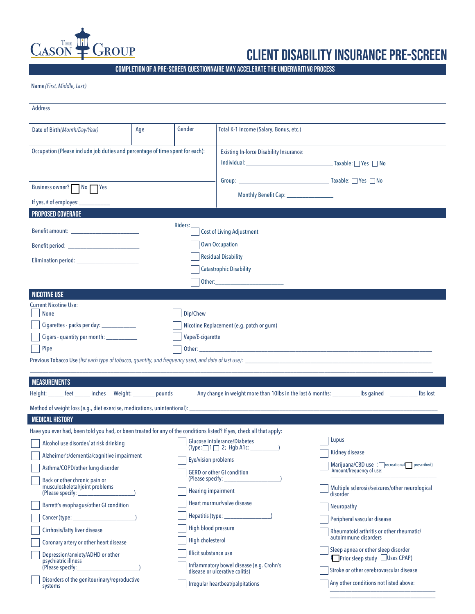

## client disability insurance pre-screen

\_\_\_\_\_\_\_\_\_\_\_\_\_\_\_\_\_\_\_\_\_\_\_\_\_\_\_\_\_\_\_\_\_\_

Completion of a pre-screen questionnaire may accelerate the underwriting process

Name *(First, Middle, Last)*

| <b>Address</b>                                                                                                                                                                                                                                                                                                                                                                                                                                                                                                                                               |     |                                                                                                                             |                                                                                                                                                                                                                                                                 |                                                                                                                                                                                                                                                                                                                                                                                                                                                       |
|--------------------------------------------------------------------------------------------------------------------------------------------------------------------------------------------------------------------------------------------------------------------------------------------------------------------------------------------------------------------------------------------------------------------------------------------------------------------------------------------------------------------------------------------------------------|-----|-----------------------------------------------------------------------------------------------------------------------------|-----------------------------------------------------------------------------------------------------------------------------------------------------------------------------------------------------------------------------------------------------------------|-------------------------------------------------------------------------------------------------------------------------------------------------------------------------------------------------------------------------------------------------------------------------------------------------------------------------------------------------------------------------------------------------------------------------------------------------------|
| Date of Birth(Month/Day/Year)                                                                                                                                                                                                                                                                                                                                                                                                                                                                                                                                | Age | Gender                                                                                                                      | Total K-1 Income (Salary, Bonus, etc.)                                                                                                                                                                                                                          |                                                                                                                                                                                                                                                                                                                                                                                                                                                       |
| Occupation (Please include job duties and percentage of time spent for each):<br>Business owner? No Yes                                                                                                                                                                                                                                                                                                                                                                                                                                                      |     |                                                                                                                             | <b>Existing In-force Disability Insurance:</b><br>Group: Taxable: Ness No                                                                                                                                                                                       |                                                                                                                                                                                                                                                                                                                                                                                                                                                       |
| If yes, # of employes:___                                                                                                                                                                                                                                                                                                                                                                                                                                                                                                                                    |     |                                                                                                                             |                                                                                                                                                                                                                                                                 |                                                                                                                                                                                                                                                                                                                                                                                                                                                       |
| <b>PROPOSED COVERAGE</b>                                                                                                                                                                                                                                                                                                                                                                                                                                                                                                                                     |     | Riders:                                                                                                                     | <b>Cost of Living Adjustment</b><br><b>Own Occupation</b><br><b>Residual Disability</b><br><b>Catastrophic Disability</b>                                                                                                                                       |                                                                                                                                                                                                                                                                                                                                                                                                                                                       |
| <b>NICOTINE USE</b><br><b>Current Nicotine Use:</b><br><b>None</b><br>Cigarettes - packs per day: ______________<br>Pipe                                                                                                                                                                                                                                                                                                                                                                                                                                     |     | Dip/Chew<br>Vape/E-cigarette                                                                                                | Nicotine Replacement (e.g. patch or gum)                                                                                                                                                                                                                        |                                                                                                                                                                                                                                                                                                                                                                                                                                                       |
| <b>MEASUREMENTS</b><br>Height: ______ feet ______ inches Weight: _______ pounds<br>Any change in weight more than 10lbs in the last 6 months: ________________ lbs gained ________<br>lbs lost<br>Method of weight loss (e.g., diet exercise, medications, unintentional): ______________<br><b>MEDICAL HISTORY</b>                                                                                                                                                                                                                                          |     |                                                                                                                             |                                                                                                                                                                                                                                                                 |                                                                                                                                                                                                                                                                                                                                                                                                                                                       |
| Have you ever had, been told you had, or been treated for any of the conditions listed? If yes, check all that apply:<br>Alcohol use disorder/ at risk drinking<br>Alzheimer's/dementia/cognitive impairment<br>Asthma/COPD/other lung disorder<br>Back or other chronic pain or<br>musculoskeletal/joint problems<br>Barrett's esophagus/other GI condition<br>Cirrhosis/fatty liver disease<br>Coronary artery or other heart disease<br>Depression/anxiety/ADHD or other<br>psychiatric illness<br>Disorders of the genitourinary/reproductive<br>systems |     | Eye/vision problems<br><b>Hearing impairment</b><br>High blood pressure<br><b>High cholesterol</b><br>Illicit substance use | Glucose intolerance/Diabetes<br>$(Type: \bigsqcup 1 \bigsqcup 2; Hgb A1c.$<br><b>GERD</b> or other GI condition<br>Heart murmur/valve disease<br>Inflammatory bowel disease (e.g. Crohn's<br>disease or ulcerative colitis)<br>Irregular heartbeat/palpitations | Lupus<br>Kidney disease<br>Marijuana/CBD use (Crecreational prescribed)<br>Amount/frequency of use:<br>Multiple sclerosis/seizures/other neurological<br>disorder<br><b>Neuropathy</b><br>Peripheral vascular disease<br>Rheumatoid arthritis or other rheumatic/<br>autoimmune disorders<br>Sleep apnea or other sleep disorder<br>Prior sleep study Uses CPAP)<br>Stroke or other cerebrovascular disease<br>Any other conditions not listed above: |